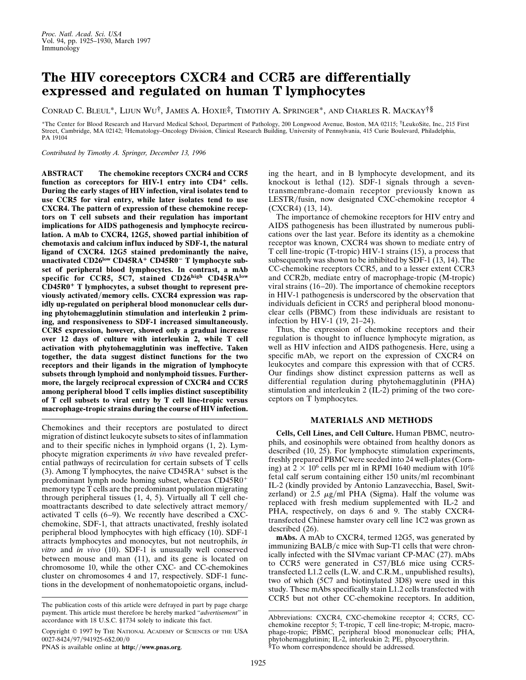## **The HIV coreceptors CXCR4 and CCR5 are differentially expressed and regulated on human T lymphocytes**

CONRAD C. BLEUL\*, LIJUN WU†, JAMES A. HOXIE‡, TIMOTHY A. SPRINGER\*, AND CHARLES R. MACKAY†§

\*The Center for Blood Research and Harvard Medical School, Department of Pathology, 200 Longwood Avenue, Boston, MA 02115; †LeukoSite, Inc., 215 First Street, Cambridge, MA 02142; ‡Hematology–Oncology Division, Clinical Research Building, University of Pennsylvania, 415 Curie Boulevard, Philadelphia, PA 19104

*Contributed by Timothy A. Springer, December 13, 1996*

**ABSTRACT The chemokine receptors CXCR4 and CCR5** function as coreceptors for HIV-1 entry into CD4<sup>+</sup> cells. **During the early stages of HIV infection, viral isolates tend to use CCR5 for viral entry, while later isolates tend to use CXCR4. The pattern of expression of these chemokine receptors on T cell subsets and their regulation has important implications for AIDS pathogenesis and lymphocyte recirculation. A mAb to CXCR4, 12G5, showed partial inhibition of chemotaxis and calcium influx induced by SDF-1, the natural ligand of CXCR4. 12G5 stained predominantly the naive,** unactivated CD26<sup>low</sup> CD45RA<sup>+</sup> CD45R0<sup>-</sup> T lymphocyte sub**set of peripheral blood lymphocytes. In contrast, a mAb specific for CCR5, 5C7, stained CD26high CD45RAlow CD45R0**<sup>1</sup> **T lymphocytes, a subset thought to represent pre**viously activated/memory cells. CXCR4 expression was rap**idly up-regulated on peripheral blood mononuclear cells during phytohemagglutinin stimulation and interleukin 2 priming, and responsiveness to SDF-1 increased simultaneously. CCR5 expression, however, showed only a gradual increase over 12 days of culture with interleukin 2, while T cell activation with phytohemagglutinin was ineffective. Taken together, the data suggest distinct functions for the two receptors and their ligands in the migration of lymphocyte subsets through lymphoid and nonlymphoid tissues. Furthermore, the largely reciprocal expression of CXCR4 and CCR5 among peripheral blood T cells implies distinct susceptibility of T cell subsets to viral entry by T cell line-tropic versus macrophage-tropic strains during the course of HIV infection.**

Chemokines and their receptors are postulated to direct migration of distinct leukocyte subsets to sites of inflammation and to their specific niches in lymphoid organs (1, 2). Lymphocyte migration experiments *in vivo* have revealed preferential pathways of recirculation for certain subsets of T cells (3). Among T lymphocytes, the naive  $CD45RA<sup>+</sup>$  subset is the predominant lymph node homing subset, whereas  $CD45R0<sup>+</sup>$ memory type T cells are the predominant population migrating through peripheral tissues (1, 4, 5). Virtually all T cell chemoattractants described to date selectively attract memory/ activated T cells (6–9). We recently have described a CXCchemokine, SDF-1, that attracts unactivated, freshly isolated peripheral blood lymphocytes with high efficacy (10). SDF-1 attracts lymphocytes and monocytes, but not neutrophils, *in vitro* and *in vivo* (10). SDF-1 is unusually well conserved between mouse and man (11), and its gene is located on chromosome 10, while the other CXC- and CC-chemokines cluster on chromosomes 4 and 17, respectively. SDF-1 functions in the development of nonhematopoietic organs, includ-

Copyright  $@$  1997 by The NATIONAL ACADEMY OF SCIENCES OF THE USA 0027-8424/97/941925-6\$2.00/0

PNAS is available online at **http://www.pnas.org**.

ing the heart, and in B lymphocyte development, and its knockout is lethal (12). SDF-1 signals through a seventransmembrane-domain receptor previously known as LESTR/fusin, now designated CXC-chemokine receptor 4 (CXCR4) (13, 14).

The importance of chemokine receptors for HIV entry and AIDS pathogenesis has been illustrated by numerous publications over the last year. Before its identity as a chemokine receptor was known, CXCR4 was shown to mediate entry of T cell line-tropic (T-tropic) HIV-1 strains (15), a process that subsequently was shown to be inhibited by SDF-1 (13, 14). The CC-chemokine receptors CCR5, and to a lesser extent CCR3 and CCR2b, mediate entry of macrophage-tropic (M-tropic) viral strains (16–20). The importance of chemokine receptors in HIV-1 pathogenesis is underscored by the observation that individuals deficient in CCR5 and peripheral blood mononuclear cells (PBMC) from these individuals are resistant to infection by HIV-1 (19, 21–24).

Thus, the expression of chemokine receptors and their regulation is thought to influence lymphocyte migration, as well as HIV infection and AIDS pathogenesis. Here, using a specific mAb, we report on the expression of CXCR4 on leukocytes and compare this expression with that of CCR5. Our findings show distinct expression patterns as well as differential regulation during phytohemagglutinin (PHA) stimulation and interleukin 2 (IL-2) priming of the two coreceptors on T lymphocytes.

## **MATERIALS AND METHODS**

**Cells, Cell Lines, and Cell Culture.** Human PBMC, neutrophils, and eosinophils were obtained from healthy donors as described (10, 25). For lymphocyte stimulation experiments, freshly prepared PBMC were seeded into 24 well-plates (Corning) at  $2 \times 10^6$  cells per ml in RPMI 1640 medium with 10% fetal calf serum containing either 150 units/ml recombinant IL-2 (kindly provided by Antonio Lanzavecchia, Basel, Switzerland) or 2.5  $\mu$ g/ml PHA (Sigma). Half the volume was replaced with fresh medium supplemented with IL-2 and PHA, respectively, on days 6 and 9. The stably CXCR4 transfected Chinese hamster ovary cell line 1C2 was grown as described (26).

**mAbs.** A mAb to CXCR4, termed 12G5, was generated by immunizing BALB/c mice with Sup-T1 cells that were chronically infected with the SIVmac variant CP-MAC (27). mAbs to CCR5 were generated in  $C57/BL6$  mice using CCR5transfected L1.2 cells (L.W. and C.R.M., unpublished results), two of which (5C7 and biotinylated 3D8) were used in this study. These mAbs specifically stain L1.2 cells transfected with CCR5 but not other CC-chemokine receptors. In addition,

The publication costs of this article were defrayed in part by page charge payment. This article must therefore be hereby marked ''*advertisement*'' in accordance with 18 U.S.C. §1734 solely to indicate this fact.

Abbreviations: CXCR4, CXC-chemokine receptor 4; CCR5, CCchemokine receptor 5; T-tropic, T cell line-tropic; M-tropic, macrophage-tropic; PBMC, peripheral blood mononuclear cells; PHA, phytohemagglutinin; IL-2, interleukin 2; PE, phycoerythrin. §To whom correspondence should be addressed.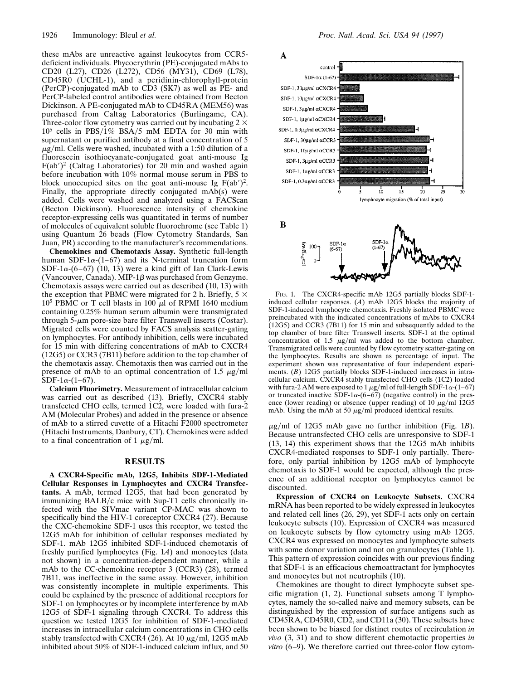these mAbs are unreactive against leukocytes from CCR5 deficient individuals. Phycoerythrin (PE)-conjugated mAbs to CD20 (L27), CD26 (L272), CD56 (MY31), CD69 (L78), CD45R0 (UCHL-1), and a peridinin-chlorophyll-protein (PerCP)-conjugated mAb to CD3 (SK7) as well as PE- and PerCP-labeled control antibodies were obtained from Becton Dickinson. A PE-conjugated mAb to CD45RA (MEM56) was purchased from Caltag Laboratories (Burlingame, CA). Three-color flow cytometry was carried out by incubating 2  $\times$  $10^5$  cells in PBS/1% BSA/5 mM EDTA for 30 min with supernatant or purified antibody at a final concentration of 5  $\mu$ g/ml. Cells were washed, incubated with a 1:50 dilution of a fluorescein isothiocyanate-conjugated goat anti-mouse Ig  $F(ab')^2$  (Caltag Laboratories) for 20 min and washed again before incubation with 10% normal mouse serum in PBS to block unoccupied sites on the goat anti-mouse Ig  $F(ab')^2$ . Finally, the appropriate directly conjugated mAb(s) were added. Cells were washed and analyzed using a FACScan (Becton Dickinson). Fluorescence intensity of chemokine receptor-expressing cells was quantitated in terms of number of molecules of equivalent soluble fluorochrome (see Table 1) using Quantum 26 beads (Flow Cytometry Standards, San Juan, PR) according to the manufacturer's recommendations.

**Chemokines and Chemotaxis Assay.** Synthetic full-length human SDF-1 $\alpha$ -(1–67) and its N-terminal truncation form SDF-1 $\alpha$ -(6–67) (10, 13) were a kind gift of Ian Clark-Lewis (Vancouver, Canada). MIP-1 $\beta$  was purchased from Genzyme. Chemotaxis assays were carried out as described (10, 13) with the exception that PBMC were migrated for 2 h. Briefly,  $5 \times$  $10^5$  PBMC or T cell blasts in 100  $\mu$ l of RPMI 1640 medium containing 0.25% human serum albumin were transmigrated through  $5-\mu m$  pore-size bare filter Transwell inserts (Costar). Migrated cells were counted by FACS analysis scatter-gating on lymphocytes. For antibody inhibition, cells were incubated for 15 min with differing concentrations of mAb to CXCR4 (12G5) or CCR3 (7B11) before addition to the top chamber of the chemotaxis assay. Chemotaxis then was carried out in the presence of mAb to an optimal concentration of 1.5  $\mu$ g/ml  $SDF-1\alpha-(1-67)$ .

**Calcium Fluorimetry.** Measurement of intracellular calcium was carried out as described (13). Briefly, CXCR4 stably transfected CHO cells, termed 1C2, were loaded with fura-2 AM (Molecular Probes) and added in the presence or absence of mAb to a stirred cuvette of a Hitachi F2000 spectrometer (Hitachi Instruments, Danbury, CT). Chemokines were added to a final concentration of 1  $\mu$ g/ml.

## **RESULTS**

**A CXCR4-Specific mAb, 12G5, Inhibits SDF-1-Mediated Cellular Responses in Lymphocytes and CXCR4 Transfectants.** A mAb, termed 12G5, that had been generated by immunizing BALB/c mice with Sup-T1 cells chronically infected with the SIVmac variant CP-MAC was shown to specifically bind the HIV-1 coreceptor CXCR4 (27). Because the CXC-chemokine SDF-1 uses this receptor, we tested the 12G5 mAb for inhibition of cellular responses mediated by SDF-1. mAb 12G5 inhibited SDF-1-induced chemotaxis of freshly purified lymphocytes (Fig. 1*A*) and monocytes (data not shown) in a concentration-dependent manner, while a mAb to the CC-chemokine receptor 3 (CCR3) (28), termed 7B11, was ineffective in the same assay. However, inhibition was consistently incomplete in multiple experiments. This could be explained by the presence of additional receptors for SDF-1 on lymphocytes or by incomplete interference by mAb 12G5 of SDF-1 signaling through CXCR4. To address this question we tested 12G5 for inhibition of SDF-1-mediated increases in intracellular calcium concentrations in CHO cells stably transfected with CXCR4 (26). At 10  $\mu$ g/ml, 12G5 mAb inhibited about 50% of SDF-1-induced calcium influx, and 50



FIG. 1. The CXCR4-specific mAb 12G5 partially blocks SDF-1 induced cellular responses. (*A*) mAb 12G5 blocks the majority of SDF-1-induced lymphocyte chemotaxis. Freshly isolated PBMC were preincubated with the indicated concentrations of mAbs to CXCR4 (12G5) and CCR3 (7B11) for 15 min and subsequently added to the top chamber of bare filter Transwell inserts. SDF-1 at the optimal concentration of 1.5  $\mu$ g/ml was added to the bottom chamber. Transmigrated cells were counted by flow cytometry scatter-gating on the lymphocytes. Results are shown as percentage of input. The experiment shown was representative of four independent experiments. (*B*) 12G5 partially blocks SDF-1-induced increases in intracellular calcium. CXCR4 stably transfected CHO cells (1C2) loaded with fura-2 AM were exposed to 1  $\mu$ g/ml of full-length SDF-1 $\alpha$ -(1–67) or truncated inactive SDF-1 $\alpha$ -(6–67) (negative control) in the presence (lower reading) or absence (upper reading) of 10  $\mu$ g/ml 12G5 mAb. Using the mAb at 50  $\mu$ g/ml produced identical results.

 $\mu$ g/ml of 12G5 mAb gave no further inhibition (Fig. 1*B*). Because untransfected CHO cells are unresponsive to SDF-1 (13, 14) this experiment shows that the 12G5 mAb inhibits CXCR4-mediated responses to SDF-1 only partially. Therefore, only partial inhibition by 12G5 mAb of lymphocyte chemotaxis to SDF-1 would be expected, although the presence of an additional receptor on lymphocytes cannot be discounted.

**Expression of CXCR4 on Leukocyte Subsets.** CXCR4 mRNA has been reported to be widely expressed in leukocytes and related cell lines (26, 29), yet SDF-1 acts only on certain leukocyte subsets (10). Expression of CXCR4 was measured on leukocyte subsets by flow cytometry using mAb 12G5. CXCR4 was expressed on monocytes and lymphocyte subsets with some donor variation and not on granulocytes (Table 1). This pattern of expression coincides with our previous finding that SDF-1 is an efficacious chemoattractant for lymphocytes and monocytes but not neutrophils (10).

Chemokines are thought to direct lymphocyte subset specific migration (1, 2). Functional subsets among T lymphocytes, namely the so-called naive and memory subsets, can be distinguished by the expression of surface antigens such as CD45RA, CD45R0, CD2, and CD11a (30). These subsets have been shown to be biased for distinct routes of recirculation *in vivo* (3, 31) and to show different chemotactic properties *in vitro* (6–9). We therefore carried out three-color flow cytom-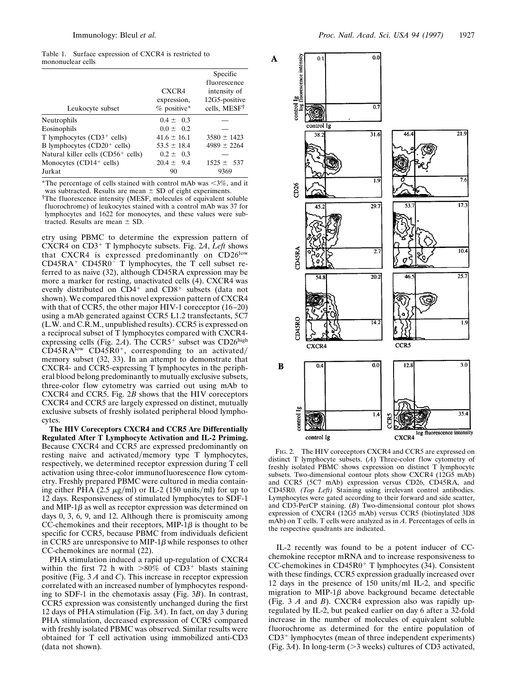Table 1. Surface expression of CXCR4 is restricted to mononuclear cells

|                                                |                                       | Specific<br>fluorescence                                  |
|------------------------------------------------|---------------------------------------|-----------------------------------------------------------|
| Leukocyte subset                               | CXCR4<br>expression.<br>$%$ positive* | intensity of<br>12G5-positive<br>cells, MESF <sup>†</sup> |
| Neutrophils                                    | $0.4 \pm 0.3$                         |                                                           |
| Eosinophils                                    | $0.0 \pm 0.2$                         |                                                           |
| T lymphocytes $(CD3+$ cells)                   | $41.6 \pm 16.1$                       | $3580 \pm 1423$                                           |
| B lymphocytes $(CD20+$ cells)                  | $53.5 \pm 18.4$                       | $4989 \pm 2264$                                           |
| Natural killer cells (CD56 <sup>+</sup> cells) | $0.2 \pm 0.3$                         |                                                           |
| Monocytes $(CD14+$ cells)                      | $20.4 \pm 9.4$                        | $1525 \pm 537$                                            |
| Jurkat                                         | 90                                    | 9369                                                      |

\*The percentage of cells stained with control mAb was  $<3\%$ , and it was subtracted. Results are mean  $\pm$  SD of eight experiments.

†The fluorescence intensity (MESF, molecules of equivalent soluble fluorochrome) of leukocytes stained with a control mAb was 37 for lymphocytes and 1622 for monocytes, and these values were subtracted. Results are mean  $\pm$  SD.

etry using PBMC to determine the expression pattern of CXCR4 on CD3<sup>+</sup> T lymphocyte subsets. Fig. 2*A*, *Left* shows that CXCR4 is expressed predominantly on CD26<sup>low</sup>  $CD45RA+CD45R0-$  T lymphocytes, the T cell subset referred to as naive (32), although CD45RA expression may be more a marker for resting, unactivated cells (4). CXCR4 was evenly distributed on  $CD4^+$  and  $CD8^+$  subsets (data not shown). We compared this novel expression pattern of CXCR4 with that of CCR5, the other major HIV-1 coreceptor (16–20) using a mAb generated against CCR5 L1.2 transfectants, 5C7 (L.W. and C.R.M., unpublished results). CCR5 is expressed on a reciprocal subset of T lymphocytes compared with CXCR4 expressing cells (Fig. 2A). The  $CCR5$ <sup>+</sup> subset was  $CD26<sup>high</sup>$  $CD45RA<sup>low</sup>$  CD45R0<sup>+</sup>, corresponding to an activated/ memory subset (32, 33). In an attempt to demonstrate that CXCR4- and CCR5-expressing T lymphocytes in the peripheral blood belong predominantly to mutually exclusive subsets, three-color flow cytometry was carried out using mAb to CXCR4 and CCR5. Fig. 2*B* shows that the HIV coreceptors CXCR4 and CCR5 are largely expressed on distinct, mutually exclusive subsets of freshly isolated peripheral blood lymphocytes.

**The HIV Coreceptors CXCR4 and CCR5 Are Differentially Regulated After T Lymphocyte Activation and IL-2 Priming.** Because CXCR4 and CCR5 are expressed predominantly on resting naive and activated/memory type T lymphocytes, respectively, we determined receptor expression during T cell activation using three-color immunofluorescence flow cytometry. Freshly prepared PBMC were cultured in media containing either PHA  $(2.5 \mu g/ml)$  or IL-2 (150 units/ml) for up to 12 days. Responsiveness of stimulated lymphocytes to SDF-1 and MIP-1 $\beta$  as well as receptor expression was determined on days 0, 3, 6, 9, and 12. Although there is promiscuity among CC-chemokines and their receptors, MIP-1 $\beta$  is thought to be specific for CCR5, because PBMC from individuals deficient in CCR5 are unresponsive to MIP-1 $\beta$  while responses to other CC-chemokines are normal (22).

PHA stimulation induced a rapid up-regulation of CXCR4 within the first 72 h with  $>80\%$  of CD3<sup>+</sup> blasts staining positive (Fig. 3 *A* and *C*). This increase in receptor expression correlated with an increased number of lymphocytes responding to SDF-1 in the chemotaxis assay (Fig. 3*B*). In contrast, CCR5 expression was consistently unchanged during the first 12 days of PHA stimulation (Fig. 3*A*). In fact, on day 3 during PHA stimulation, decreased expresssion of CCR5 compared with freshly isolated PBMC was observed. Similar results were obtained for T cell activation using immobilized anti-CD3 (data not shown).



FIG. 2. The HIV coreceptors CXCR4 and CCR5 are expressed on distinct T lymphocyte subsets. (*A*) Three-color flow cytometry of freshly isolated PBMC shows expression on distinct T lymphocyte subsets. Two-dimensional contour plots show CXCR4 (12G5 mAb) and CCR5 (5C7 mAb) expression versus CD26, CD45RA, and CD45R0. *(Top Left)* Staining using irrelevant control antibodies. Lymphocytes were gated according to their forward and side scatter, and CD3-PerCP staining. (*B*) Two-dimensional contour plot shows expression of CXCR4 (12G5 mAb) versus CCR5 (biotinylated 3D8 mAb) on T cells. T cells were analyzed as in *A*. Percentages of cells in the respective quadrants are indicated.

IL-2 recently was found to be a potent inducer of CCchemokine receptor mRNA and to increase responsiveness to  $CC$ -chemokines in  $CD45R0+T$  lymphocytes (34). Consistent with these findings, CCR5 expression gradually increased over 12 days in the presence of  $150 \text{ units/ml IL-2}$ , and specific migration to MIP-1 $\beta$  above background became detectable (Fig. 3 *A* and *B*). CXCR4 expression also was rapidly upregulated by IL-2, but peaked earlier on day 6 after a 32-fold increase in the number of molecules of equivalent soluble fluorochrome as determined for the entire population of  $CD3<sup>+</sup>$  lymphocytes (mean of three independent experiments) (Fig.  $3A$ ). In long-term ( $>3$  weeks) cultures of CD3 activated,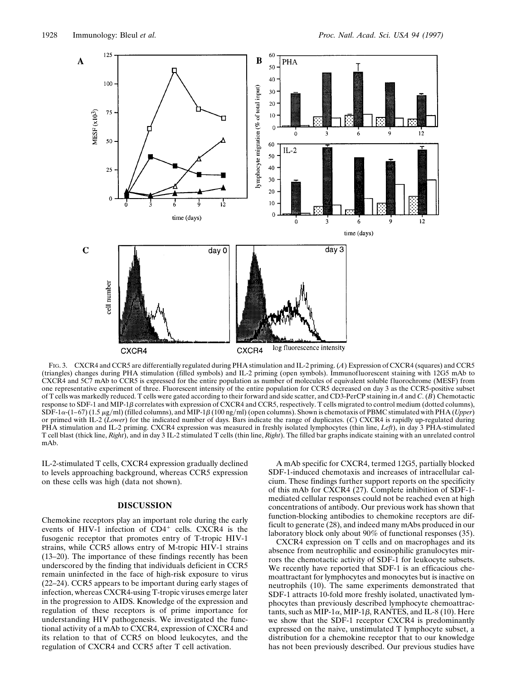

FIG. 3. CXCR4 and CCR5 are differentially regulated during PHA stimulation and IL-2 priming. (*A*) Expression of CXCR4 (squares) and CCR5 (triangles) changes during PHA stimulation (filled symbols) and IL-2 priming (open symbols). Immunofluorescent staining with 12G5 mAb to CXCR4 and 5C7 mAb to CCR5 is expressed for the entire population as number of molecules of equivalent soluble fluorochrome (MESF) from one representative experiment of three. Fluorescent intensity of the entire population for CCR5 decreased on day 3 as the CCR5-positive subset of T cells was markedly reduced. T cells were gated according to their forward and side scatter, and CD3-PerCP staining in *A* and *C*. (*B*) Chemotactic response to SDF-1 and MIP-1 $\beta$  correlates with expression of CXCR4 and CCR5, respectively. T cells migrated to control medium (dotted columns),  $SDF-1\alpha-(1-67)$  (1.5  $\mu$ g/ml) (filled columns), and MIP-1 $\beta$  (100 ng/ml) (open columns). Shown is chemotaxis of PBMC stimulated with PHA (*Upper*) or primed with IL-2 (*Lower*) for the indicated number of days. Bars indicate the range of duplicates. (*C*) CXCR4 is rapidly up-regulated during PHA stimulation and IL-2 priming. CXCR4 expression was measured in freshly isolated lymphocytes (thin line, *Left*), in day 3 PHA-stimulated T cell blast (thick line, *Right*), and in day 3 IL-2 stimulated T cells (thin line, *Right*). The filled bar graphs indicate staining with an unrelated control mAb.

IL-2-stimulated T cells, CXCR4 expression gradually declined to levels approaching background, whereas CCR5 expression on these cells was high (data not shown).

## **DISCUSSION**

Chemokine receptors play an important role during the early events of HIV-1 infection of  $CD4^+$  cells. CXCR4 is the fusogenic receptor that promotes entry of T-tropic HIV-1 strains, while CCR5 allows entry of M-tropic HIV-1 strains (13–20). The importance of these findings recently has been underscored by the finding that individuals deficient in CCR5 remain uninfected in the face of high-risk exposure to virus (22–24). CCR5 appears to be important during early stages of infection, whereas CXCR4-using T-tropic viruses emerge later in the progression to AIDS. Knowledge of the expression and regulation of these receptors is of prime importance for understanding HIV pathogenesis. We investigated the functional activity of a mAb to CXCR4, expression of CXCR4 and its relation to that of CCR5 on blood leukocytes, and the regulation of CXCR4 and CCR5 after T cell activation.

A mAb specific for CXCR4, termed 12G5, partially blocked SDF-1-induced chemotaxis and increases of intracellular calcium. These findings further support reports on the specificity of this mAb for CXCR4 (27). Complete inhibition of SDF-1 mediated cellular responses could not be reached even at high concentrations of antibody. Our previous work has shown that function-blocking antibodies to chemokine receptors are difficult to generate (28), and indeed many mAbs produced in our laboratory block only about 90% of functional responses (35).

CXCR4 expression on T cells and on macrophages and its absence from neutrophilic and eosinophilic granulocytes mirrors the chemotactic activity of SDF-1 for leukocyte subsets. We recently have reported that SDF-1 is an efficacious chemoattractant for lymphocytes and monocytes but is inactive on neutrophils (10). The same experiments demonstrated that SDF-1 attracts 10-fold more freshly isolated, unactivated lymphocytes than previously described lymphocyte chemoattractants, such as MIP-1 $\alpha$ , MIP-1 $\beta$ , RANTES, and IL-8 (10). Here we show that the SDF-1 receptor CXCR4 is predominantly expressed on the naive, unstimulated T lymphocyte subset, a distribution for a chemokine receptor that to our knowledge has not been previously described. Our previous studies have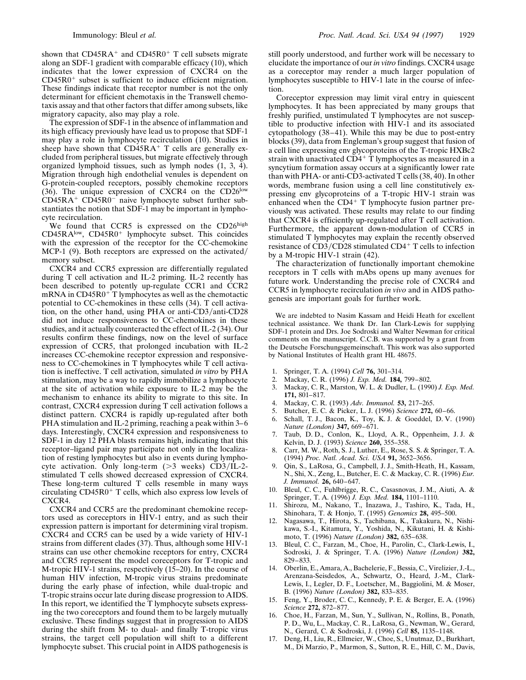shown that  $CD45RA^+$  and  $CD45R0^+$  T cell subsets migrate along an SDF-1 gradient with comparable efficacy (10), which indicates that the lower expression of CXCR4 on the  $CD45R0<sup>+</sup>$  subset is sufficient to induce efficient migration. These findings indicate that receptor number is not the only determinant for efficient chemotaxis in the Transwell chemotaxis assay and that other factors that differ among subsets, like migratory capacity, also may play a role.

The expression of SDF-1 in the absence of inflammation and its high efficacy previously have lead us to propose that SDF-1 may play a role in lymphocyte recirculation (10). Studies in sheep have shown that  $CD\ddot{4}5RA+T$  cells are generally excluded from peripheral tissues, but migrate effectively through organized lymphoid tissues, such as lymph nodes (1, 3, 4). Migration through high endothelial venules is dependent on G-protein-coupled receptors, possibly chemokine receptors  $(36)$ . The unique expression of CXCR4 on the CD26<sup>low</sup>  $CD45RA^+$   $CD45R0^-$  naive lymphocyte subset further substantiates the notion that SDF-1 may be important in lymphocyte recirculation.

We found that CCR5 is expressed on the CD26high  $CD45RA<sup>low</sup>$ ,  $CD45R0<sup>+</sup>$  lymphocyte subset. This coincides with the expression of the receptor for the CC-chemokine MCP-1  $(9)$ . Both receptors are expressed on the activated/ memory subset.

CXCR4 and CCR5 expression are differentially regulated during T cell activation and IL-2 priming. IL-2 recently has been described to potently up-regulate CCR1 and CCR2 mRNA in  $CD45R0+T$  lymphocytes as well as the chemotactic potential to CC-chemokines in these cells (34). T cell activation, on the other hand, using PHA or anti-CD3/anti-CD28 did not induce responsiveness to CC-chemokines in these studies, and it actually counteracted the effect of IL-2 (34). Our results confirm these findings, now on the level of surface expression of CCR5, that prolonged incubation with IL-2 increases CC-chemokine receptor expression and responsiveness to CC-chemokines in T lymphocytes while T cell activation is ineffective. T cell activation, simulated *in vitro* by PHA stimulation, may be a way to rapidly immobilize a lymphocyte at the site of activation while exposure to IL-2 may be the mechanism to enhance its ability to migrate to this site. In contrast, CXCR4 expression during T cell activation follows a distinct pattern. CXCR4 is rapidly up-regulated after both PHA stimulation and IL-2 priming, reaching a peak within 3–6 days. Interestingly, CXCR4 expression and responsiveness to SDF-1 in day 12 PHA blasts remains high, indicating that this receptor–ligand pair may participate not only in the localization of resting lymphocytes but also in events during lymphocyte activation. Only long-term  $(>3$  weeks) CD3/IL-2stimulated T cells showed decreased expression of CXCR4. These long-term cultured T cells resemble in many ways circulating  $CD45R0+T$  cells, which also express low levels of CXCR4.

CXCR4 and CCR5 are the predominant chemokine receptors used as coreceptors in HIV-1 entry, and as such their expression pattern is important for determining viral tropism. CXCR4 and CCR5 can be used by a wide variety of HIV-1 strains from different clades (37). Thus, although some HIV-1 strains can use other chemokine receptors for entry, CXCR4 and CCR5 represent the model coreceptors for T-tropic and M-tropic HIV-1 strains, respectively (15–20). In the course of human HIV infection, M-tropic virus strains predominate during the early phase of infection, while dual-tropic and T-tropic strains occur late during disease progression to AIDS. In this report, we identified the T lymphocyte subsets expressing the two coreceptors and found them to be largely mutually exclusive. These findings suggest that in progression to AIDS during the shift from M- to dual- and finally T-tropic virus strains, the target cell population will shift to a different lymphocyte subset. This crucial point in AIDS pathogenesis is

still poorly understood, and further work will be necessary to elucidate the importance of our *in vitro* findings. CXCR4 usage as a coreceptor may render a much larger population of lymphocytes susceptible to HIV-1 late in the course of infection.

Coreceptor expression may limit viral entry in quiescent lymphocytes. It has been appreciated by many groups that freshly purified, unstimulated T lymphocytes are not susceptible to productive infection with HIV-1 and its associated cytopathology (38–41). While this may be due to post-entry blocks (39), data from Engleman's group suggest that fusion of a cell line expressing env glycoproteins of the T-tropic HXBc2 strain with unactivated  $CD4+T$  lymphocytes as measured in a syncytium formation assay occurs at a significantly lower rate than with PHA- or anti-CD3-activated T cells (38, 40). In other words, membrane fusion using a cell line constitutively expressing env glycoproteins of a T-tropic HIV-1 strain was enhanced when the  $CD4+T$  lymphocyte fusion partner previously was activated. These results may relate to our finding that CXCR4 is efficiently up-regulated after T cell activation. Furthermore, the apparent down-modulation of CCR5 in stimulated T lymphocytes may explain the recently observed resistance of  $CD3/CD28$  stimulated  $CD4+T$  cells to infection by a M-tropic HIV-1 strain (42).

The characterization of functionally important chemokine receptors in T cells with mAbs opens up many avenues for future work. Understanding the precise role of CXCR4 and CCR5 in lymphocyte recirculation *in vivo* and in AIDS pathogenesis are important goals for further work.

We are indebted to Nasim Kassam and Heidi Heath for excellent technical assistance. We thank Dr. Ian Clark-Lewis for supplying SDF-1 protein and Drs. Joe Sodroski and Walter Newman for critical comments on the manuscript. C.C.B. was supported by a grant from the Deutsche Forschungsgemeinschaft. This work was also supported by National Institutes of Health grant HL 48675.

- 1. Springer, T. A. (1994) *Cell* **76,** 301–314.
- 
- 2. Mackay, C. R. (1996) *J. Exp. Med.* **184,** 799–802. 3. Mackay, C. R., Marston, W. L. & Dudler, L. (1990) *J. Exp. Med.* **171,** 801–817.
- 4. Mackay, C. R. (1993) *Adv. Immunol.* **53,** 217–265.
- 5. Butcher, E. C. & Picker, L. J. (1996) *Science* **272,** 60–66.
- 6. Schall, T. J., Bacon, K., Toy, K. J. & Goeddel, D. V. (1990) *Nature (London)* **347,** 669–671.
- 7. Taub, D. D., Conlon, K., Lloyd, A. R., Oppenheim, J. J. & Kelvin, D. J. (1993) *Science* **260,** 355–358.
- 8. Carr, M. W., Roth, S. J., Luther, E., Rose, S. S. & Springer, T. A. (1994) *Proc. Natl. Acad. Sci. USA* **91,** 3652–3656.
- 9. Qin, S., LaRosa, G., Campbell, J. J., Smith-Heath, H., Kassam, N., Shi, X., Zeng, L., Butcher, E. C. & Mackay, C. R. (1996) *Eur. J. Immunol.* **26,** 640–647.
- 10. Bleul, C. C., Fuhlbrigge, R. C., Casasnovas, J. M., Aiuti, A. & Springer, T. A. (1996) *J. Exp. Med.* **184,** 1101–1110.
- 11. Shirozu, M., Nakano, T., Inazawa, J., Tashiro, K., Tada, H., Shinohara, T. & Honjo, T. (1995) *Genomics* **28,** 495–500.
- 12. Nagasawa, T., Hirota, S., Tachibana, K., Takakura, N., Nishikawa, S.-I., Kitamura, Y., Yoshida, N., Kikutani, H. & Kishimoto, T. (1996) *Nature (London)* **382,** 635–638.
- 13. Bleul, C. C., Farzan, M., Choe, H., Parolin, C., Clark-Lewis, I., Sodroski, J. & Springer, T. A. (1996) *Nature (London)* **382,** 829–833.
- 14. Oberlin, E., Amara, A., Bachelerie, F., Bessia, C., Virelizier, J.-L., Arenzana-Seisdedos, A., Schwartz, O., Heard, J.-M., Clark-Lewis, I., Legler, D. F., Loetscher, M., Baggiolini, M. & Moser, B. (1996) *Nature (London)* **382,** 833–835.
- 15. Feng, Y., Broder, C. C., Kennedy, P. E. & Berger, E. A. (1996) *Science* **272,** 872–877.
- 16. Choe, H., Farzan, M., Sun, Y., Sullivan, N., Rollins, B., Ponath, P. D., Wu, L., Mackay, C. R., LaRosa, G., Newman, W., Gerard, N., Gerard, C. & Sodroski, J. (1996) *Cell* **85,** 1135–1148.
- 17. Deng, H., Liu, R., Ellmeier, W., Choe, S., Unutmaz, D., Burkhart, M., Di Marzio, P., Marmon, S., Sutton, R. E., Hill, C. M., Davis,